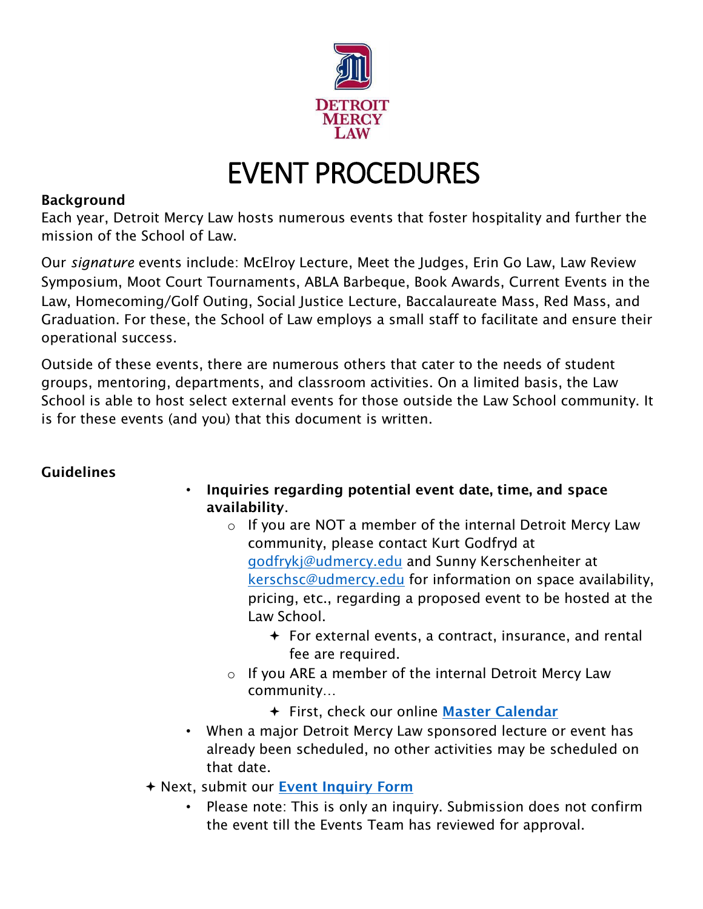

## EVENT PROCEDURES

## Background

mission of the School of Law. Each year, Detroit Mercy Law hosts numerous events that foster hospitality and further the

mission of the School of Law.<br>Our *signature* events include: McElroy Lecture, Meet the Judges, Erin Go Law, Law Review Symposium, Moot Court Tournaments, ABLA Barbeque, Book Awards, Current Events in the Law, Homecoming/Golf Outing, Social Justice Lecture, Baccalaureate Mass, Red Mass, and Graduation. For these, the School of Law employs a small staff to facilitate and ensure their operational success.

 Outside of these events, there are numerous others that cater to the needs of student groups, mentoring, departments, and classroom activities. On a limited basis, the Law School is able to host select external events for those outside the Law School community. It is for these events (and you) that this document is written.

## Guidelines

- • Inquiries regarding potential event date, time, and space availability.
	- $\circ$  If you are NOT a member of the internal Detroit Mercy Law pricing, etc., regarding a proposed event to be hosted at the community, please contact Kurt Godfryd at [godfrykj@udmercy.edu](mailto:godfrykj@udmercy.edu) and Sunny Kerschenheiter at [kerschsc@udmercy.edu](mailto:kerschsc@udmercy.edu) for information on space availability, Law School.
		- For external events, a contract, insurance, and rental fee are required.
	- o If you ARE a member of the internal Detroit Mercy Law community…
		- + First, check our online Master Calendar
- When a major Detroit Mercy Law sponsored lecture or event has already been scheduled, no other activities may be scheduled on that date.
- Next, submit our [Event Inquiry Form](https://forms.office.com/Pages/ResponsePage.aspx?id=2MKkyGi9ukC4tnUivppxce1YaqJ0IAtFgtVJdxQuX8RUN05IUkJUQTNNSkxGOEtNMk5PTk40MkpNNi4u) 
	- • Please note: This is only an inquiry. Submission does not confirm the event till the Events Team has reviewed for approval.